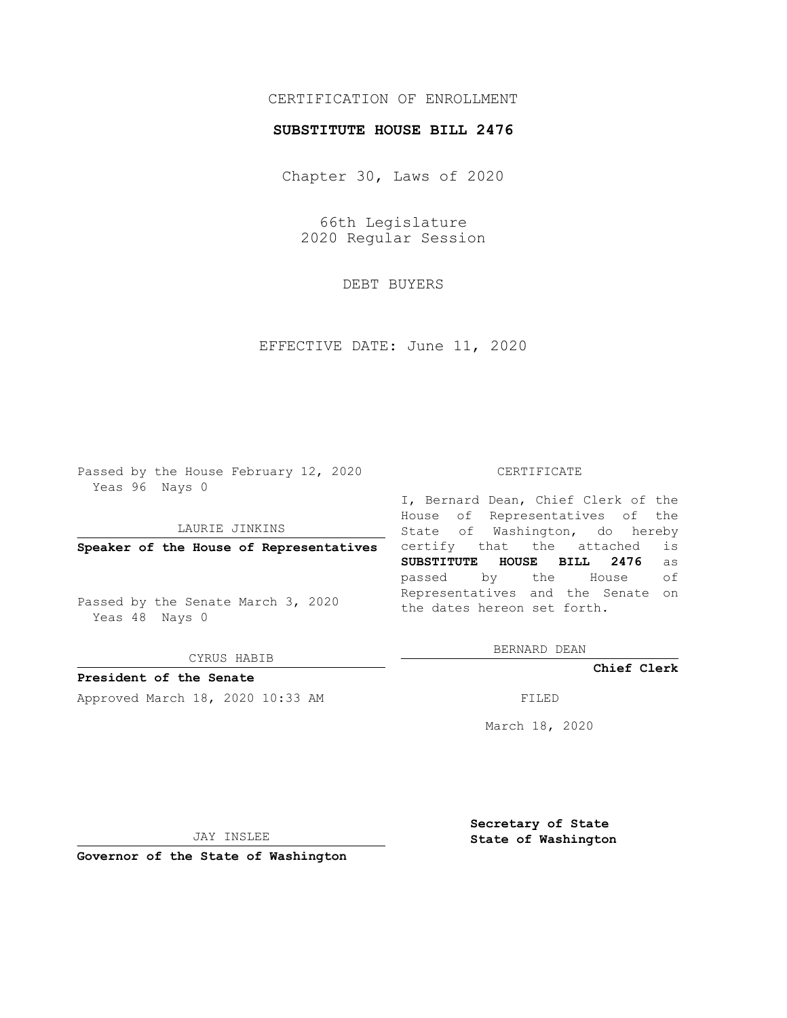# CERTIFICATION OF ENROLLMENT

### **SUBSTITUTE HOUSE BILL 2476**

Chapter 30, Laws of 2020

66th Legislature 2020 Regular Session

DEBT BUYERS

EFFECTIVE DATE: June 11, 2020

Passed by the House February 12, 2020 Yeas 96 Nays 0

LAURIE JINKINS

**Speaker of the House of Representatives**

Passed by the Senate March 3, 2020 Yeas 48 Nays 0

CYRUS HABIB

**President of the Senate**

Approved March 18, 2020 10:33 AM FILED

#### CERTIFICATE

I, Bernard Dean, Chief Clerk of the House of Representatives of the State of Washington, do hereby certify that the attached is **SUBSTITUTE HOUSE BILL 2476** as passed by the House of Representatives and the Senate on the dates hereon set forth.

BERNARD DEAN

**Chief Clerk**

March 18, 2020

JAY INSLEE

**Governor of the State of Washington**

**Secretary of State State of Washington**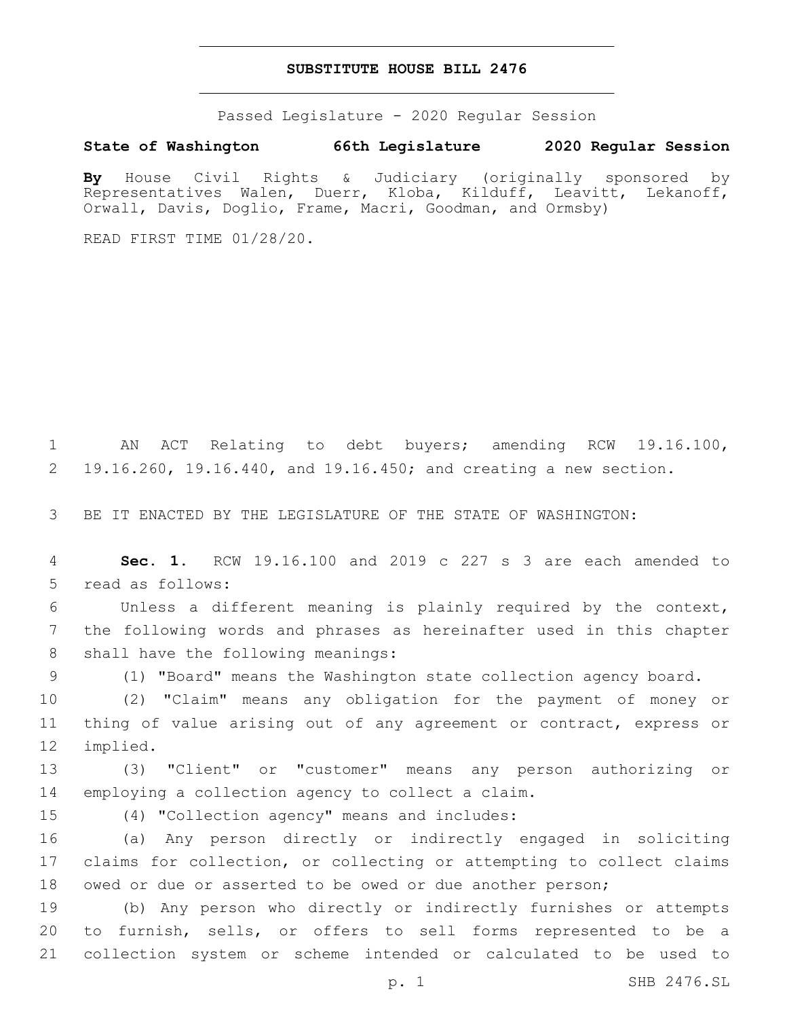## **SUBSTITUTE HOUSE BILL 2476**

Passed Legislature - 2020 Regular Session

## **State of Washington 66th Legislature 2020 Regular Session**

**By** House Civil Rights & Judiciary (originally sponsored by Representatives Walen, Duerr, Kloba, Kilduff, Leavitt, Lekanoff, Orwall, Davis, Doglio, Frame, Macri, Goodman, and Ormsby)

READ FIRST TIME 01/28/20.

1 AN ACT Relating to debt buyers; amending RCW 19.16.100, 2 19.16.260, 19.16.440, and 19.16.450; and creating a new section.

3 BE IT ENACTED BY THE LEGISLATURE OF THE STATE OF WASHINGTON:

4 **Sec. 1.** RCW 19.16.100 and 2019 c 227 s 3 are each amended to 5 read as follows:

6 Unless a different meaning is plainly required by the context, 7 the following words and phrases as hereinafter used in this chapter 8 shall have the following meanings:

9 (1) "Board" means the Washington state collection agency board.

10 (2) "Claim" means any obligation for the payment of money or 11 thing of value arising out of any agreement or contract, express or 12 implied.

13 (3) "Client" or "customer" means any person authorizing or 14 employing a collection agency to collect a claim.

15 (4) "Collection agency" means and includes:

16 (a) Any person directly or indirectly engaged in soliciting 17 claims for collection, or collecting or attempting to collect claims 18 owed or due or asserted to be owed or due another person;

19 (b) Any person who directly or indirectly furnishes or attempts 20 to furnish, sells, or offers to sell forms represented to be a 21 collection system or scheme intended or calculated to be used to

p. 1 SHB 2476.SL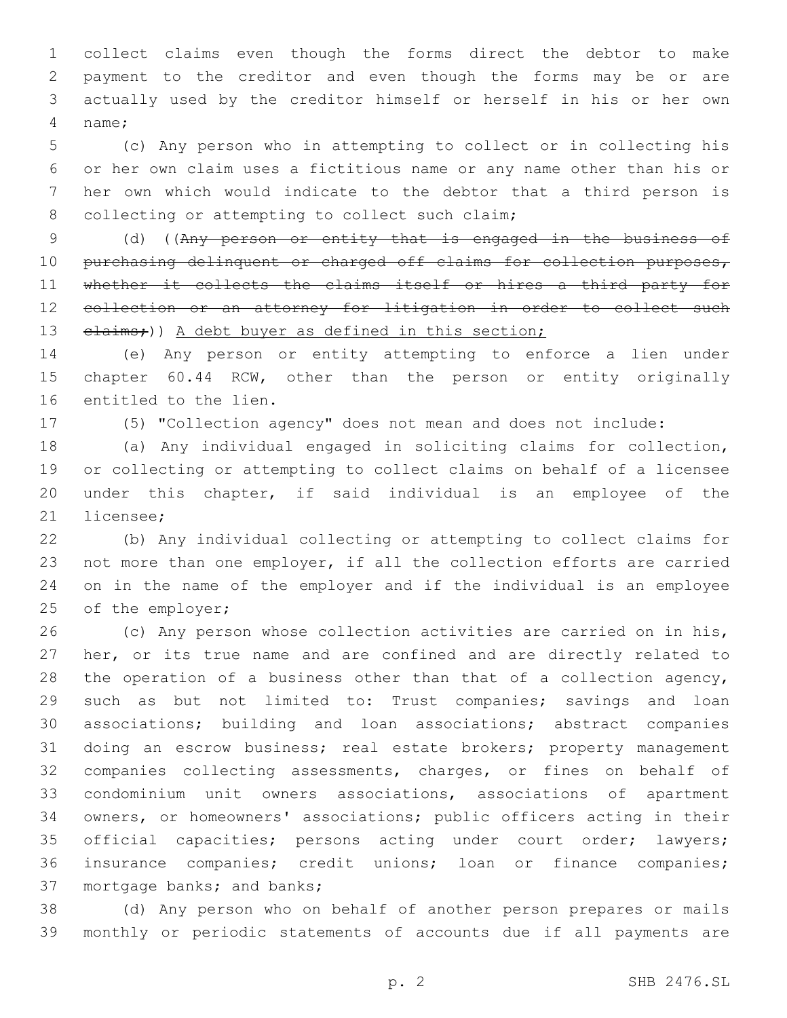collect claims even though the forms direct the debtor to make payment to the creditor and even though the forms may be or are actually used by the creditor himself or herself in his or her own name;4

 (c) Any person who in attempting to collect or in collecting his or her own claim uses a fictitious name or any name other than his or her own which would indicate to the debtor that a third person is 8 collecting or attempting to collect such claim;

 (d) ((Any person or entity that is engaged in the business of 10 purchasing delinquent or charged off claims for collection purposes, 11 whether it collects the claims itself or hires a third party for collection or an attorney for litigation in order to collect such 13 elaims;)) A debt buyer as defined in this section;

 (e) Any person or entity attempting to enforce a lien under chapter 60.44 RCW, other than the person or entity originally 16 entitled to the lien.

(5) "Collection agency" does not mean and does not include:

 (a) Any individual engaged in soliciting claims for collection, or collecting or attempting to collect claims on behalf of a licensee under this chapter, if said individual is an employee of the 21 licensee:

 (b) Any individual collecting or attempting to collect claims for not more than one employer, if all the collection efforts are carried on in the name of the employer and if the individual is an employee 25 of the employer;

 (c) Any person whose collection activities are carried on in his, her, or its true name and are confined and are directly related to 28 the operation of a business other than that of a collection agency, such as but not limited to: Trust companies; savings and loan associations; building and loan associations; abstract companies doing an escrow business; real estate brokers; property management companies collecting assessments, charges, or fines on behalf of condominium unit owners associations, associations of apartment owners, or homeowners' associations; public officers acting in their official capacities; persons acting under court order; lawyers; insurance companies; credit unions; loan or finance companies; 37 mortgage banks; and banks;

 (d) Any person who on behalf of another person prepares or mails monthly or periodic statements of accounts due if all payments are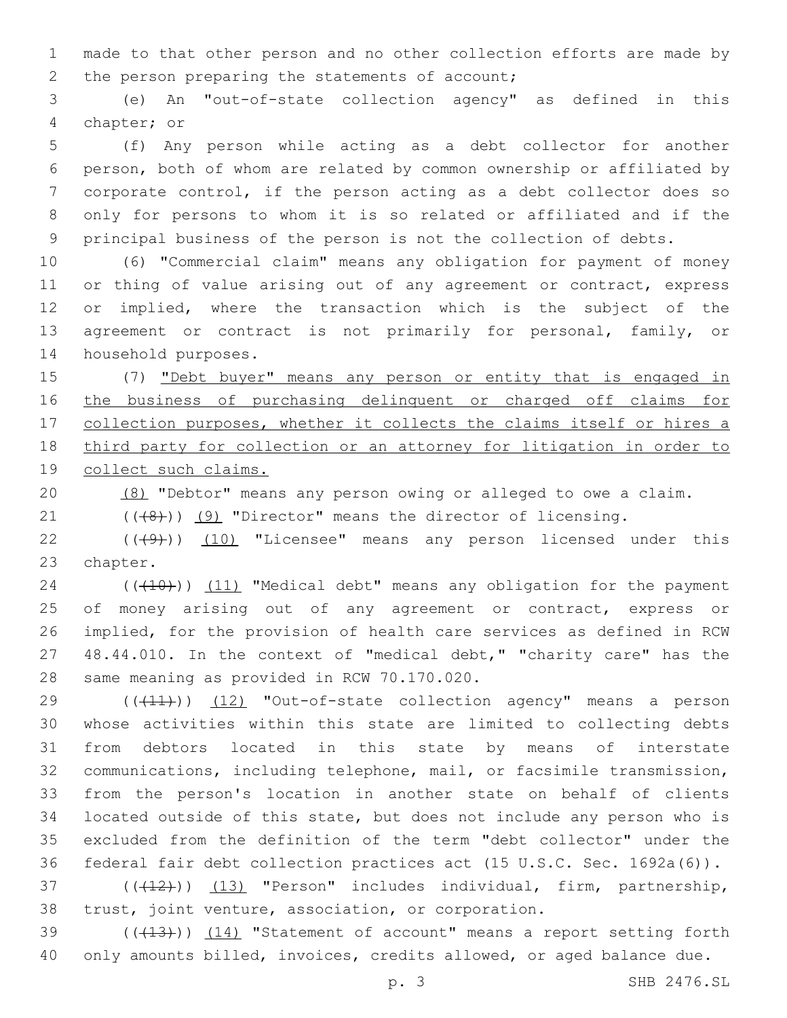made to that other person and no other collection efforts are made by 2 the person preparing the statements of account;

 (e) An "out-of-state collection agency" as defined in this 4 chapter; or

 (f) Any person while acting as a debt collector for another person, both of whom are related by common ownership or affiliated by corporate control, if the person acting as a debt collector does so only for persons to whom it is so related or affiliated and if the principal business of the person is not the collection of debts.

 (6) "Commercial claim" means any obligation for payment of money 11 or thing of value arising out of any agreement or contract, express or implied, where the transaction which is the subject of the agreement or contract is not primarily for personal, family, or 14 household purposes.

 (7) "Debt buyer" means any person or entity that is engaged in the business of purchasing delinquent or charged off claims for 17 collection purposes, whether it collects the claims itself or hires a third party for collection or an attorney for litigation in order to collect such claims.

(8) "Debtor" means any person owing or alleged to owe a claim.

 $(1)$   $(1)$   $(1)$   $(9)$  "Director" means the director of licensing.

22  $((+9+))$   $(10)$  "Licensee" means any person licensed under this 23 chapter.

24 (((10)) (11) "Medical debt" means any obligation for the payment 25 of money arising out of any agreement or contract, express or implied, for the provision of health care services as defined in RCW 48.44.010. In the context of "medical debt," "charity care" has the 28 same meaning as provided in RCW 70.170.020.

29 (( $(411)$ )) (12) "Out-of-state collection agency" means a person whose activities within this state are limited to collecting debts from debtors located in this state by means of interstate communications, including telephone, mail, or facsimile transmission, from the person's location in another state on behalf of clients located outside of this state, but does not include any person who is excluded from the definition of the term "debt collector" under the federal fair debt collection practices act (15 U.S.C. Sec. 1692a(6)).

37 (((412))) (13) "Person" includes individual, firm, partnership, trust, joint venture, association, or corporation.

39 (((413))) (14) "Statement of account" means a report setting forth only amounts billed, invoices, credits allowed, or aged balance due.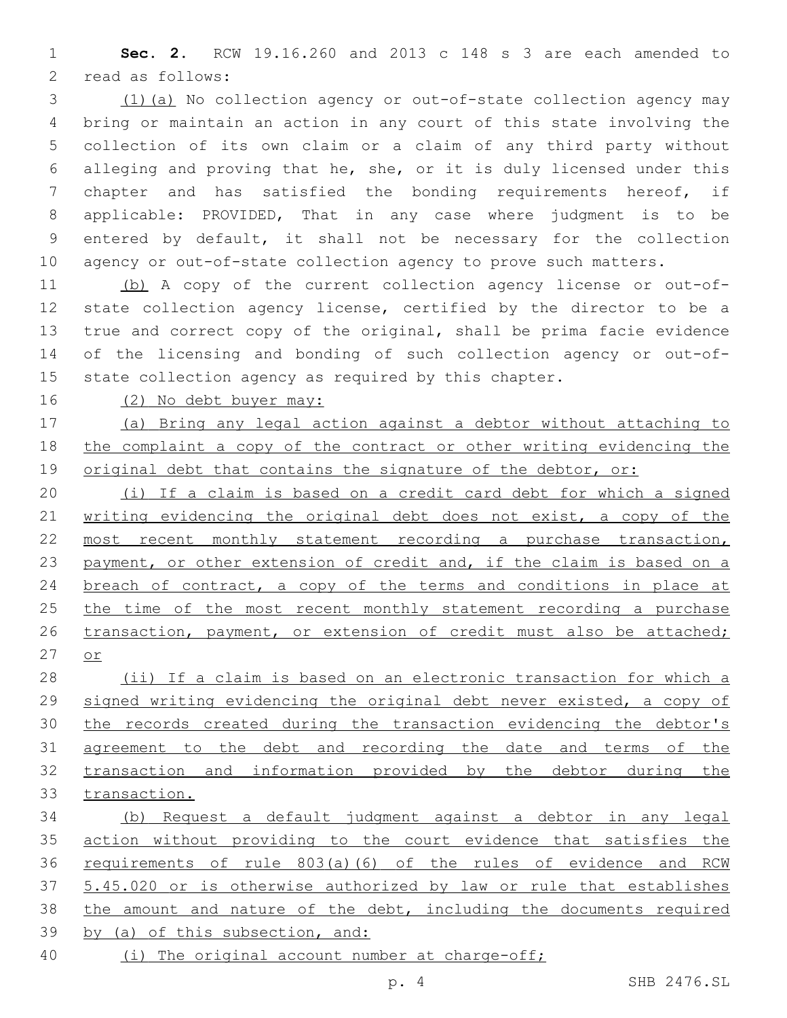**Sec. 2.** RCW 19.16.260 and 2013 c 148 s 3 are each amended to 2 read as follows:

 (1)(a) No collection agency or out-of-state collection agency may bring or maintain an action in any court of this state involving the collection of its own claim or a claim of any third party without alleging and proving that he, she, or it is duly licensed under this chapter and has satisfied the bonding requirements hereof, if applicable: PROVIDED, That in any case where judgment is to be entered by default, it shall not be necessary for the collection agency or out-of-state collection agency to prove such matters.

 (b) A copy of the current collection agency license or out-of- state collection agency license, certified by the director to be a true and correct copy of the original, shall be prima facie evidence of the licensing and bonding of such collection agency or out-of-state collection agency as required by this chapter.

(2) No debt buyer may:

 (a) Bring any legal action against a debtor without attaching to the complaint a copy of the contract or other writing evidencing the 19 original debt that contains the signature of the debtor, or:

 (i) If a claim is based on a credit card debt for which a signed 21 writing evidencing the original debt does not exist, a copy of the 22 most recent monthly statement recording a purchase transaction, 23 payment, or other extension of credit and, if the claim is based on a 24 breach of contract, a copy of the terms and conditions in place at 25 the time of the most recent monthly statement recording a purchase 26 transaction, payment, or extension of credit must also be attached; or

 (ii) If a claim is based on an electronic transaction for which a signed writing evidencing the original debt never existed, a copy of 30 the records created during the transaction evidencing the debtor's 31 agreement to the debt and recording the date and terms of the transaction and information provided by the debtor during the transaction.

 (b) Request a default judgment against a debtor in any legal action without providing to the court evidence that satisfies the requirements of rule 803(a)(6) of the rules of evidence and RCW 5.45.020 or is otherwise authorized by law or rule that establishes the amount and nature of the debt, including the documents required by (a) of this subsection, and:

(i) The original account number at charge-off;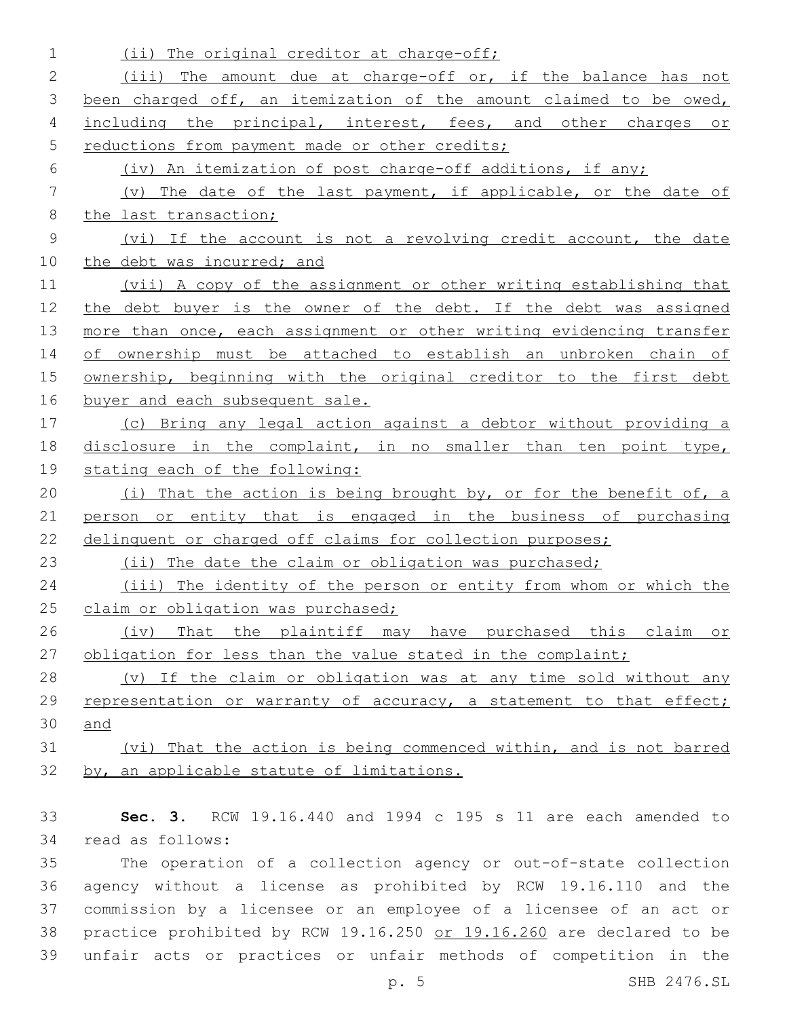| 1              | (ii) The original creditor at charge-off;                            |
|----------------|----------------------------------------------------------------------|
| 2              | (iii) The amount due at charge-off or, if the balance has not        |
| 3              | been charged off, an itemization of the amount claimed to be owed,   |
| 4              | including the principal, interest, fees, and other charges or        |
| 5              | reductions from payment made or other credits;                       |
| 6              | (iv) An itemization of post charge-off additions, if any;            |
| 7              | (v) The date of the last payment, if applicable, or the date of      |
| 8              | the last transaction;                                                |
| $\overline{9}$ | (vi) If the account is not a revolving credit account, the date      |
| 10             | the debt was incurred; and                                           |
| 11             | (vii) A copy of the assignment or other writing establishing that    |
| 12             | the debt buyer is the owner of the debt. If the debt was assigned    |
| 13             | more than once, each assignment or other writing evidencing transfer |
| 14             | of ownership must be attached to establish an unbroken chain of      |
| 15             | ownership, beginning with the original creditor to the first debt    |
| 16             | buyer and each subsequent sale.                                      |
| 17             | (c) Bring any legal action against a debtor without providing a      |
| 18             | disclosure in the complaint, in no smaller than ten point type,      |
| 19             | stating each of the following:                                       |
| 20             | (i) That the action is being brought by, or for the benefit of, a    |
| 21             | person or entity that is engaged in the business of purchasing       |
| 22             | delinquent or charged off claims for collection purposes;            |
| 23             | (ii) The date the claim or obligation was purchased;                 |
| 24             | (iii) The identity of the person or entity from whom or which the    |
| 25             | claim or obligation was purchased;                                   |
| 26             | (iv) That the plaintiff may have purchased this claim or             |
| 27             | obligation for less than the value stated in the complaint;          |
| 28             | (v) If the claim or obligation was at any time sold without any      |
| 29             | representation or warranty of accuracy, a statement to that effect;  |
| 30             | and                                                                  |
| 31             | (vi) That the action is being commenced within, and is not barred    |
| 32             | by, an applicable statute of limitations.                            |
|                |                                                                      |
|                |                                                                      |

 **Sec. 3.** RCW 19.16.440 and 1994 c 195 s 11 are each amended to 34 read as follows:

 The operation of a collection agency or out-of-state collection agency without a license as prohibited by RCW 19.16.110 and the commission by a licensee or an employee of a licensee of an act or practice prohibited by RCW 19.16.250 or 19.16.260 are declared to be unfair acts or practices or unfair methods of competition in the